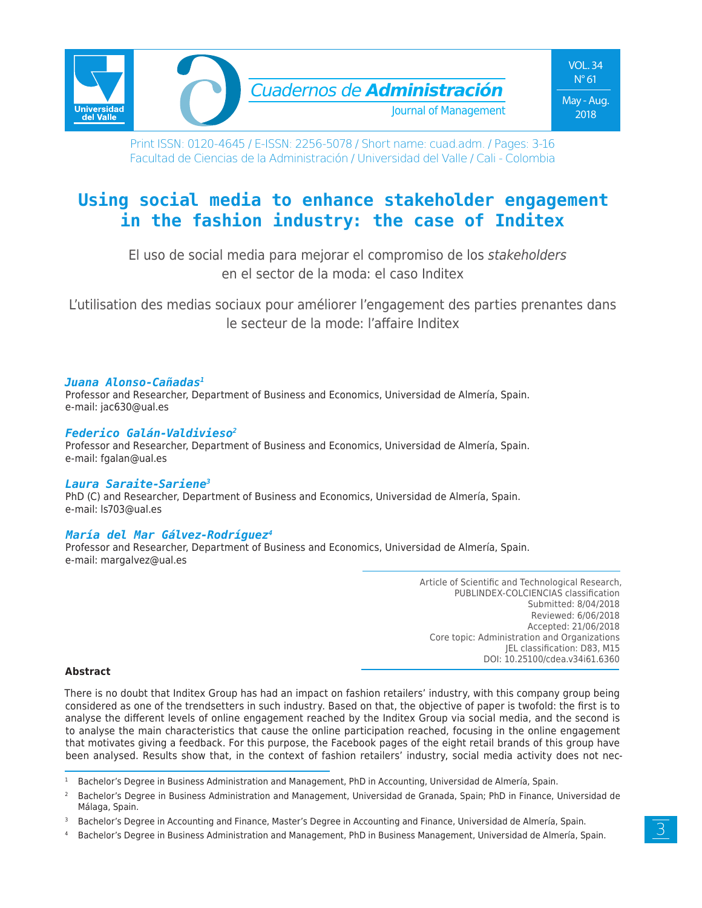

Print ISSN: 0120-4645 / E-ISSN: 2256-5078 / Short name: cuad.adm. / Pages: 3-16 Facultad de Ciencias de la Administración / Universidad del Valle / Cali - Colombia

# **Using social media to enhance stakeholder engagement in the fashion industry: the case of Inditex**

El uso de social media para mejorar el compromiso de los *stakeholders* en el sector de la moda: el caso Inditex

L'utilisation des medias sociaux pour améliorer l'engagement des parties prenantes dans le secteur de la mode: l'affaire Inditex

#### *Juana Alonso-Cañadas1*

Professor and Researcher, Department of Business and Economics, Universidad de Almería, Spain. e-mail: jac630@ual.es

#### *Federico Galán-Valdivieso2*

Professor and Researcher, Department of Business and Economics, Universidad de Almería, Spain. e-mail: fgalan@ual.es

#### *Laura Saraite-Sariene3*

PhD (C) and Researcher, Department of Business and Economics, Universidad de Almería, Spain. e-mail: ls703@ual.es

#### *María del Mar Gálvez-Rodríguez4*

Professor and Researcher, Department of Business and Economics, Universidad de Almería, Spain. e-mail: margalvez@ual.es

> Article of Scientific and Technological Research, PUBLINDEX-COLCIENCIAS classification Submitted: 8/04/2018 Reviewed: 6/06/2018 Accepted: 21/06/2018 Core topic: Administration and Organizations JEL classification: D83, M15 DOI: 10.25100/cdea.v34i61.6360

#### **Abstract**

There is no doubt that Inditex Group has had an impact on fashion retailers' industry, with this company group being considered as one of the trendsetters in such industry. Based on that, the objective of paper is twofold: the first is to analyse the different levels of online engagement reached by the Inditex Group via social media, and the second is to analyse the main characteristics that cause the online participation reached, focusing in the online engagement that motivates giving a feedback. For this purpose, the Facebook pages of the eight retail brands of this group have been analysed. Results show that, in the context of fashion retailers' industry, social media activity does not nec-

<sup>&</sup>lt;sup>1</sup> Bachelor's Degree in Business Administration and Management, PhD in Accounting, Universidad de Almería, Spain.

<sup>&</sup>lt;sup>2</sup> Bachelor's Degree in Business Administration and Management, Universidad de Granada, Spain; PhD in Finance, Universidad de Málaga, Spain.

<sup>3</sup> Bachelor's Degree in Accounting and Finance, Master's Degree in Accounting and Finance, Universidad de Almería, Spain.

<sup>4</sup> Bachelor's Degree in Business Administration and Management, PhD in Business Management, Universidad de Almería, Spain.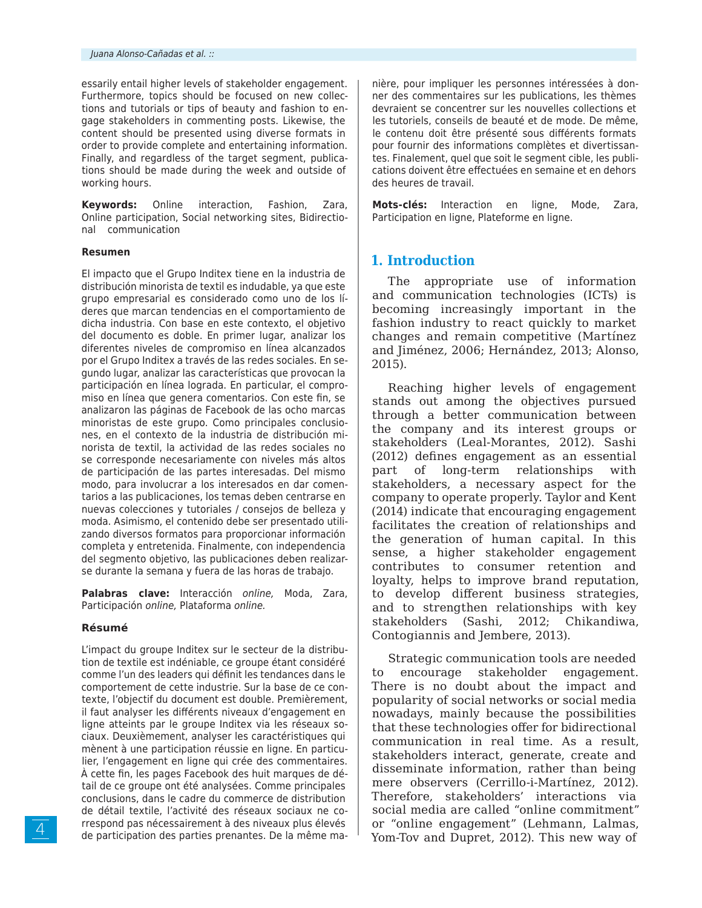essarily entail higher levels of stakeholder engagement. Furthermore, topics should be focused on new collections and tutorials or tips of beauty and fashion to engage stakeholders in commenting posts. Likewise, the content should be presented using diverse formats in order to provide complete and entertaining information. Finally, and regardless of the target segment, publications should be made during the week and outside of working hours.

**Keywords:** Online interaction, Fashion, Zara, Online participation, Social networking sites, Bidirectional communication

#### **Resumen**

El impacto que el Grupo Inditex tiene en la industria de distribución minorista de textil es indudable, ya que este grupo empresarial es considerado como uno de los líderes que marcan tendencias en el comportamiento de dicha industria. Con base en este contexto, el objetivo del documento es doble. En primer lugar, analizar los diferentes niveles de compromiso en línea alcanzados por el Grupo Inditex a través de las redes sociales. En segundo lugar, analizar las características que provocan la participación en línea lograda. En particular, el compromiso en línea que genera comentarios. Con este fin, se analizaron las páginas de Facebook de las ocho marcas minoristas de este grupo. Como principales conclusiones, en el contexto de la industria de distribución minorista de textil, la actividad de las redes sociales no se corresponde necesariamente con niveles más altos de participación de las partes interesadas. Del mismo modo, para involucrar a los interesados en dar comentarios a las publicaciones, los temas deben centrarse en nuevas colecciones y tutoriales / consejos de belleza y moda. Asimismo, el contenido debe ser presentado utilizando diversos formatos para proporcionar información completa y entretenida. Finalmente, con independencia del segmento objetivo, las publicaciones deben realizarse durante la semana y fuera de las horas de trabajo.

**Palabras clave:** Interacción *online,* Moda, Zara, Participación *online,* Plataforma *online.*

#### **Résumé**

L'impact du groupe Inditex sur le secteur de la distribution de textile est indéniable, ce groupe étant considéré comme l'un des leaders qui définit les tendances dans le comportement de cette industrie. Sur la base de ce contexte, l'objectif du document est double. Premièrement, il faut analyser les différents niveaux d'engagement en ligne atteints par le groupe Inditex via les réseaux sociaux. Deuxièmement, analyser les caractéristiques qui mènent à une participation réussie en ligne. En particulier, l'engagement en ligne qui crée des commentaires. À cette fin, les pages Facebook des huit marques de détail de ce groupe ont été analysées. Comme principales conclusions, dans le cadre du commerce de distribution de détail textile, l'activité des réseaux sociaux ne correspond pas nécessairement à des niveaux plus élevés de participation des parties prenantes. De la même manière, pour impliquer les personnes intéressées à donner des commentaires sur les publications, les thèmes devraient se concentrer sur les nouvelles collections et les tutoriels, conseils de beauté et de mode. De même, le contenu doit être présenté sous différents formats pour fournir des informations complètes et divertissantes. Finalement, quel que soit le segment cible, les publications doivent être effectuées en semaine et en dehors des heures de travail.

**Mots-clés:** Interaction en ligne, Mode, Zara, Participation en ligne, Plateforme en ligne.

#### **1. Introduction**

The appropriate use of information and communication technologies (ICTs) is becoming increasingly important in the fashion industry to react quickly to market changes and remain competitive (Martínez and Jiménez, 2006; Hernández, 2013; Alonso, 2015).

Reaching higher levels of engagement stands out among the objectives pursued through a better communication between the company and its interest groups or stakeholders (Leal-Morantes, 2012). Sashi (2012) defines engagement as an essential part of long-term relationships with stakeholders, a necessary aspect for the company to operate properly. Taylor and Kent (2014) indicate that encouraging engagement facilitates the creation of relationships and the generation of human capital. In this sense, a higher stakeholder engagement contributes to consumer retention and loyalty, helps to improve brand reputation, to develop different business strategies, and to strengthen relationships with key stakeholders (Sashi, 2012; Chikandiwa, Contogiannis and Jembere, 2013).

Strategic communication tools are needed to encourage stakeholder engagement. There is no doubt about the impact and popularity of social networks or social media nowadays, mainly because the possibilities that these technologies offer for bidirectional communication in real time. As a result, stakeholders interact, generate, create and disseminate information, rather than being mere observers (Cerrillo-i-Martínez, 2012). Therefore, stakeholders' interactions via social media are called "online commitment" or "online engagement" (Lehmann, Lalmas, Yom-Tov and Dupret, 2012). This new way of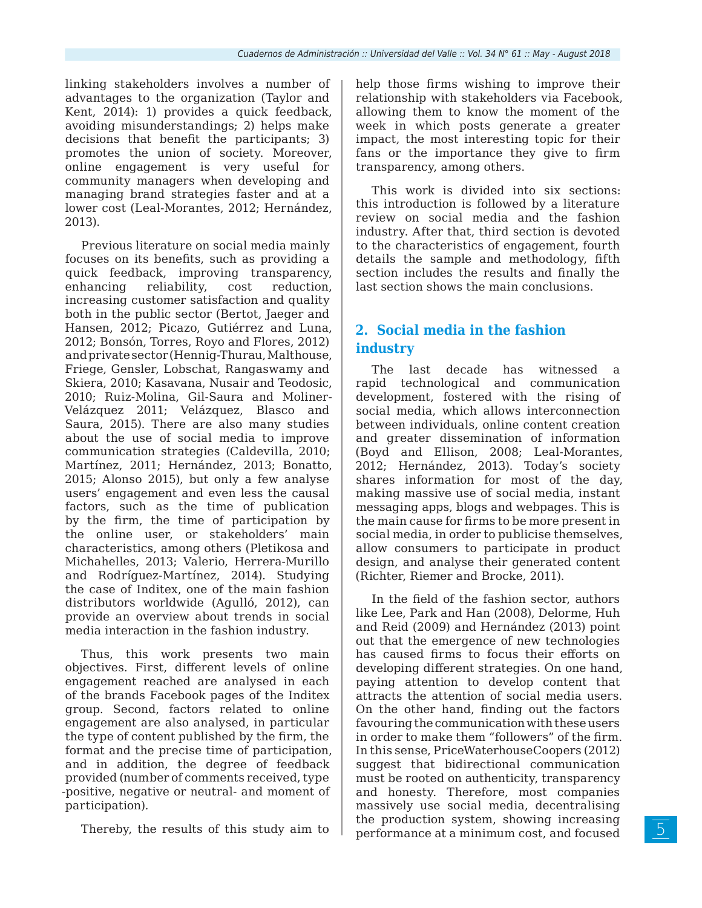linking stakeholders involves a number of advantages to the organization (Taylor and Kent, 2014): 1) provides a quick feedback, avoiding misunderstandings; 2) helps make decisions that benefit the participants; 3) promotes the union of society. Moreover, online engagement is very useful for community managers when developing and managing brand strategies faster and at a lower cost (Leal-Morantes, 2012; Hernández, 2013).

Previous literature on social media mainly focuses on its benefits, such as providing a quick feedback, improving transparency, enhancing reliability, cost reduction, increasing customer satisfaction and quality both in the public sector (Bertot, Jaeger and Hansen, 2012; Picazo, Gutiérrez and Luna, 2012; Bonsón, Torres, Royo and Flores, 2012) and private sector (Hennig-Thurau, Malthouse, Friege, Gensler, Lobschat, Rangaswamy and Skiera, 2010; Kasavana, Nusair and Teodosic, 2010; Ruiz-Molina, Gil-Saura and Moliner-Velázquez 2011; Velázquez, Blasco and Saura, 2015). There are also many studies about the use of social media to improve communication strategies (Caldevilla, 2010; Martínez, 2011; Hernández, 2013; Bonatto, 2015; Alonso 2015), but only a few analyse users' engagement and even less the causal factors, such as the time of publication by the firm, the time of participation by the online user, or stakeholders' main characteristics, among others (Pletikosa and Michahelles, 2013; Valerio, Herrera-Murillo and Rodríguez-Martínez, 2014). Studying the case of Inditex, one of the main fashion distributors worldwide (Agulló, 2012), can provide an overview about trends in social media interaction in the fashion industry.

Thus, this work presents two main objectives. First, different levels of online engagement reached are analysed in each of the brands Facebook pages of the Inditex group. Second, factors related to online engagement are also analysed, in particular the type of content published by the firm, the format and the precise time of participation, and in addition, the degree of feedback provided (number of comments received, type -positive, negative or neutral- and moment of participation).

Thereby, the results of this study aim to

help those firms wishing to improve their relationship with stakeholders via Facebook, allowing them to know the moment of the week in which posts generate a greater impact, the most interesting topic for their fans or the importance they give to firm transparency, among others.

This work is divided into six sections: this introduction is followed by a literature review on social media and the fashion industry. After that, third section is devoted to the characteristics of engagement, fourth details the sample and methodology, fifth section includes the results and finally the last section shows the main conclusions.

# **2. Social media in the fashion industry**

The last decade has witnessed a rapid technological and communication development, fostered with the rising of social media, which allows interconnection between individuals, online content creation and greater dissemination of information (Boyd and Ellison, 2008; Leal-Morantes, 2012; Hernández, 2013). Today's society shares information for most of the day, making massive use of social media, instant messaging apps, blogs and webpages. This is the main cause for firms to be more present in social media, in order to publicise themselves, allow consumers to participate in product design, and analyse their generated content (Richter, Riemer and Brocke, 2011).

In the field of the fashion sector, authors like Lee, Park and Han (2008), Delorme, Huh and Reid (2009) and Hernández (2013) point out that the emergence of new technologies has caused firms to focus their efforts on developing different strategies. On one hand, paying attention to develop content that attracts the attention of social media users. On the other hand, finding out the factors favouring the communication with these users in order to make them "followers" of the firm. In this sense, PriceWaterhouseCoopers (2012) suggest that bidirectional communication must be rooted on authenticity, transparency and honesty. Therefore, most companies massively use social media, decentralising the production system, showing increasing performance at a minimum cost, and focused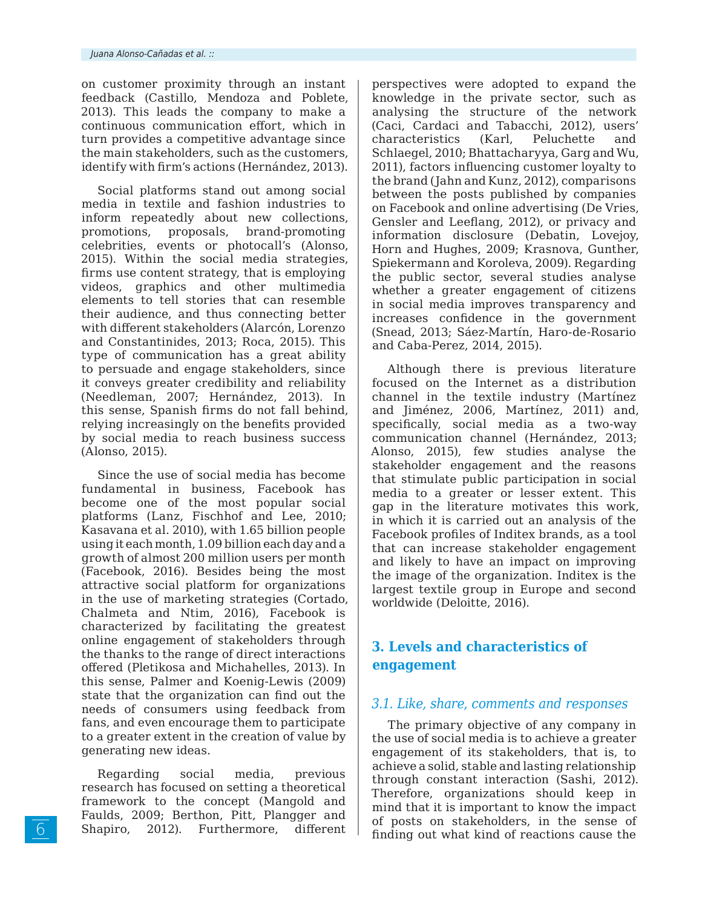on customer proximity through an instant feedback (Castillo, Mendoza and Poblete, 2013). This leads the company to make a continuous communication effort, which in turn provides a competitive advantage since the main stakeholders, such as the customers, identify with firm's actions (Hernández, 2013).

Social platforms stand out among social media in textile and fashion industries to inform repeatedly about new collections, promotions, proposals, brand-promoting celebrities, events or photocall's (Alonso, 2015). Within the social media strategies, firms use content strategy, that is employing videos, graphics and other multimedia elements to tell stories that can resemble their audience, and thus connecting better with different stakeholders (Alarcón, Lorenzo and Constantinides, 2013; Roca, 2015). This type of communication has a great ability to persuade and engage stakeholders, since it conveys greater credibility and reliability (Needleman, 2007; Hernández, 2013). In this sense, Spanish firms do not fall behind, relying increasingly on the benefits provided by social media to reach business success (Alonso, 2015).

Since the use of social media has become fundamental in business, Facebook has become one of the most popular social platforms (Lanz, Fischhof and Lee, 2010; Kasavana et al. 2010), with 1.65 billion people using it each month, 1.09 billion each day and a growth of almost 200 million users per month (Facebook, 2016). Besides being the most attractive social platform for organizations in the use of marketing strategies (Cortado, Chalmeta and Ntim, 2016), Facebook is characterized by facilitating the greatest online engagement of stakeholders through the thanks to the range of direct interactions offered (Pletikosa and Michahelles, 2013). In this sense, Palmer and Koenig-Lewis (2009) state that the organization can find out the needs of consumers using feedback from fans, and even encourage them to participate to a greater extent in the creation of value by generating new ideas.

Regarding social media, previous research has focused on setting a theoretical framework to the concept (Mangold and Faulds, 2009; Berthon, Pitt, Plangger and Shapiro, 2012). Furthermore, different

perspectives were adopted to expand the knowledge in the private sector, such as analysing the structure of the network (Caci, Cardaci and Tabacchi, 2012), users' characteristics (Karl, Peluchette and Schlaegel, 2010; Bhattacharyya, Garg and Wu, 2011), factors influencing customer loyalty to the brand (Jahn and Kunz, 2012), comparisons between the posts published by companies on Facebook and online advertising (De Vries, Gensler and Leeflang, 2012), or privacy and information disclosure (Debatin, Lovejoy, Horn and Hughes, 2009; Krasnova, Gunther, Spiekermann and Koroleva, 2009). Regarding the public sector, several studies analyse whether a greater engagement of citizens in social media improves transparency and increases confidence in the government (Snead, 2013; Sáez-Martín, Haro-de-Rosario and Caba-Perez, 2014, 2015).

Although there is previous literature focused on the Internet as a distribution channel in the textile industry (Martínez and Jiménez, 2006, Martínez, 2011) and, specifically, social media as a two-way communication channel (Hernández, 2013; Alonso, 2015), few studies analyse the stakeholder engagement and the reasons that stimulate public participation in social media to a greater or lesser extent. This gap in the literature motivates this work, in which it is carried out an analysis of the Facebook profiles of Inditex brands, as a tool that can increase stakeholder engagement and likely to have an impact on improving the image of the organization. Inditex is the largest textile group in Europe and second worldwide (Deloitte, 2016).

## **3. Levels and characteristics of engagement**

### *3.1. Like, share, comments and responses*

The primary objective of any company in the use of social media is to achieve a greater engagement of its stakeholders, that is, to achieve a solid, stable and lasting relationship through constant interaction (Sashi, 2012). Therefore, organizations should keep in mind that it is important to know the impact of posts on stakeholders, in the sense of finding out what kind of reactions cause the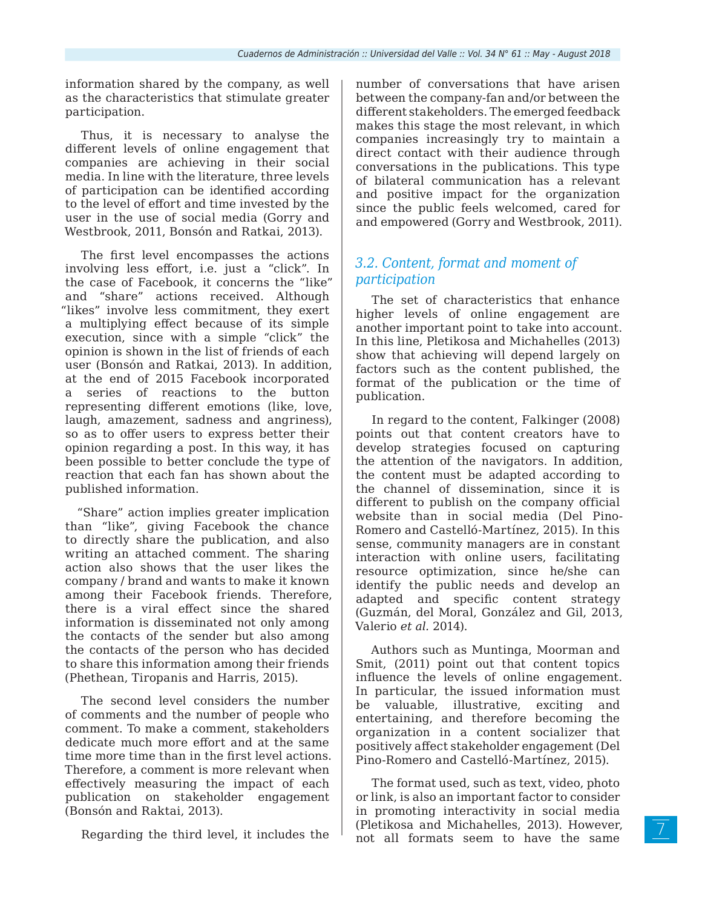information shared by the company, as well as the characteristics that stimulate greater participation.

Thus, it is necessary to analyse the different levels of online engagement that companies are achieving in their social media. In line with the literature, three levels of participation can be identified according to the level of effort and time invested by the user in the use of social media (Gorry and Westbrook, 2011, Bonsón and Ratkai, 2013).

The first level encompasses the actions involving less effort, i.e. just a "click". In the case of Facebook, it concerns the "like" and "share" actions received. Although "likes" involve less commitment, they exert a multiplying effect because of its simple execution, since with a simple "click" the opinion is shown in the list of friends of each user (Bonsón and Ratkai, 2013). In addition, at the end of 2015 Facebook incorporated a series of reactions to the button representing different emotions (like, love, laugh, amazement, sadness and angriness), so as to offer users to express better their opinion regarding a post. In this way, it has been possible to better conclude the type of reaction that each fan has shown about the published information.

"Share" action implies greater implication than "like", giving Facebook the chance to directly share the publication, and also writing an attached comment. The sharing action also shows that the user likes the company / brand and wants to make it known among their Facebook friends. Therefore, there is a viral effect since the shared information is disseminated not only among the contacts of the sender but also among the contacts of the person who has decided to share this information among their friends (Phethean, Tiropanis and Harris, 2015).

The second level considers the number of comments and the number of people who comment. To make a comment, stakeholders dedicate much more effort and at the same time more time than in the first level actions. Therefore, a comment is more relevant when effectively measuring the impact of each publication on stakeholder engagement (Bonsón and Raktai, 2013).

Regarding the third level, it includes the

number of conversations that have arisen between the company-fan and/or between the different stakeholders. The emerged feedback makes this stage the most relevant, in which companies increasingly try to maintain a direct contact with their audience through conversations in the publications. This type of bilateral communication has a relevant and positive impact for the organization since the public feels welcomed, cared for and empowered (Gorry and Westbrook, 2011).

### *3.2. Content, format and moment of participation*

The set of characteristics that enhance higher levels of online engagement are another important point to take into account. In this line, Pletikosa and Michahelles (2013) show that achieving will depend largely on factors such as the content published, the format of the publication or the time of publication.

In regard to the content, Falkinger (2008) points out that content creators have to develop strategies focused on capturing the attention of the navigators. In addition, the content must be adapted according to the channel of dissemination, since it is different to publish on the company official website than in social media (Del Pino-Romero and Castelló-Martínez, 2015). In this sense, community managers are in constant interaction with online users, facilitating resource optimization, since he/she can identify the public needs and develop an adapted and specific content strategy (Guzmán, del Moral, González and Gil, 2013, Valerio *et al.* 2014).

Authors such as Muntinga, Moorman and Smit, (2011) point out that content topics influence the levels of online engagement. In particular, the issued information must be valuable, illustrative, exciting and entertaining, and therefore becoming the organization in a content socializer that positively affect stakeholder engagement (Del Pino-Romero and Castelló-Martínez, 2015).

The format used, such as text, video, photo or link, is also an important factor to consider in promoting interactivity in social media (Pletikosa and Michahelles, 2013). However, not all formats seem to have the same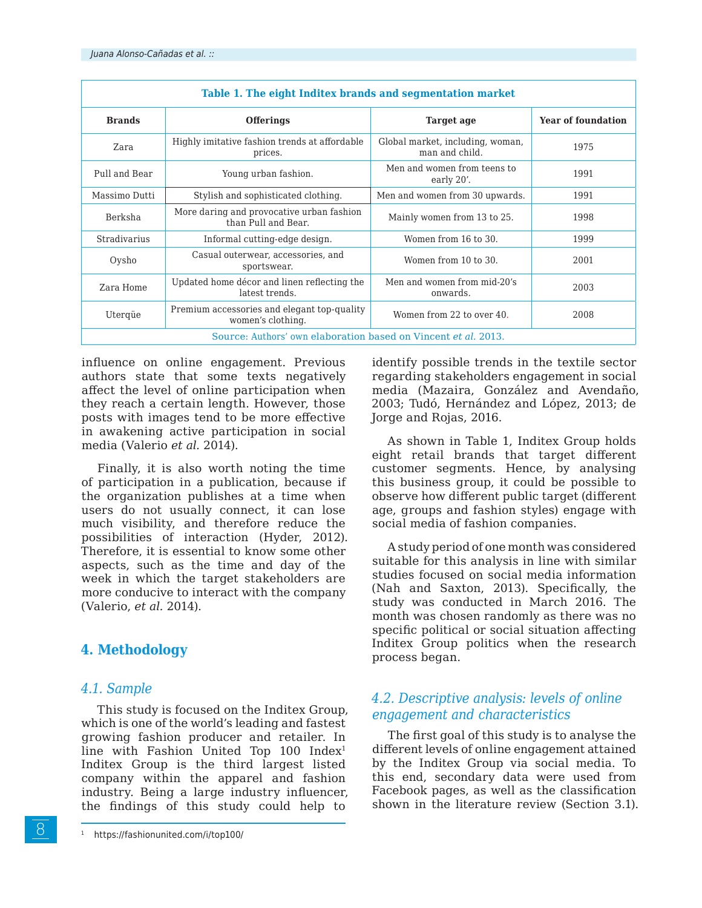|                     | Table 1. The eight Inditex brands and segmentation market        |                                                    |                           |
|---------------------|------------------------------------------------------------------|----------------------------------------------------|---------------------------|
| <b>Brands</b>       | <b>Offerings</b>                                                 | Target age                                         | <b>Year of foundation</b> |
| Zara                | Highly imitative fashion trends at affordable<br>prices.         | Global market, including, woman,<br>man and child. | 1975                      |
| Pull and Bear       | Young urban fashion.                                             | Men and women from teens to<br>early 20'.          | 1991                      |
| Massimo Dutti       | Stylish and sophisticated clothing.                              | Men and women from 30 upwards.                     | 1991                      |
| Berksha             | More daring and provocative urban fashion<br>than Pull and Bear. | Mainly women from 13 to 25.                        | 1998                      |
| <b>Stradivarius</b> | Informal cutting-edge design.                                    | Women from 16 to 30.                               | 1999                      |
| Oysho               | Casual outerwear, accessories, and<br>sportswear.                | Women from 10 to 30.                               | 2001                      |
| Zara Home           | Updated home décor and linen reflecting the<br>latest trends.    | Men and women from mid-20's<br>onwards.            | 2003                      |
| Uterqüe             | Premium accessories and elegant top-quality<br>women's clothing. | Women from 22 to over 40.                          | 2008                      |
|                     | Source: Authors' own elaboration based on Vincent et al. 2013.   |                                                    |                           |

influence on online engagement. Previous authors state that some texts negatively affect the level of online participation when they reach a certain length. However, those posts with images tend to be more effective in awakening active participation in social media (Valerio *et al.* 2014).

Finally, it is also worth noting the time of participation in a publication, because if the organization publishes at a time when users do not usually connect, it can lose much visibility, and therefore reduce the possibilities of interaction (Hyder, 2012). Therefore, it is essential to know some other aspects, such as the time and day of the week in which the target stakeholders are more conducive to interact with the company (Valerio, *et al.* 2014).

### **4. Methodology**

### *4.1. Sample*

8

This study is focused on the Inditex Group, which is one of the world's leading and fastest growing fashion producer and retailer. In line with Fashion United Top 100 Index<sup>1</sup> Inditex Group is the third largest listed company within the apparel and fashion industry. Being a large industry influencer, the findings of this study could help to

identify possible trends in the textile sector regarding stakeholders engagement in social media (Mazaira, González and Avendaño, 2003; Tudó, Hernández and López, 2013; de Jorge and Rojas, 2016.

As shown in Table 1, Inditex Group holds eight retail brands that target different customer segments. Hence, by analysing this business group, it could be possible to observe how different public target (different age, groups and fashion styles) engage with social media of fashion companies.

A study period of one month was considered suitable for this analysis in line with similar studies focused on social media information (Nah and Saxton, 2013). Specifically, the study was conducted in March 2016. The month was chosen randomly as there was no specific political or social situation affecting Inditex Group politics when the research process began.

### *4.2. Descriptive analysis: levels of online engagement and characteristics*

The first goal of this study is to analyse the different levels of online engagement attained by the Inditex Group via social media. To this end, secondary data were used from Facebook pages, as well as the classification shown in the literature review (Section 3.1).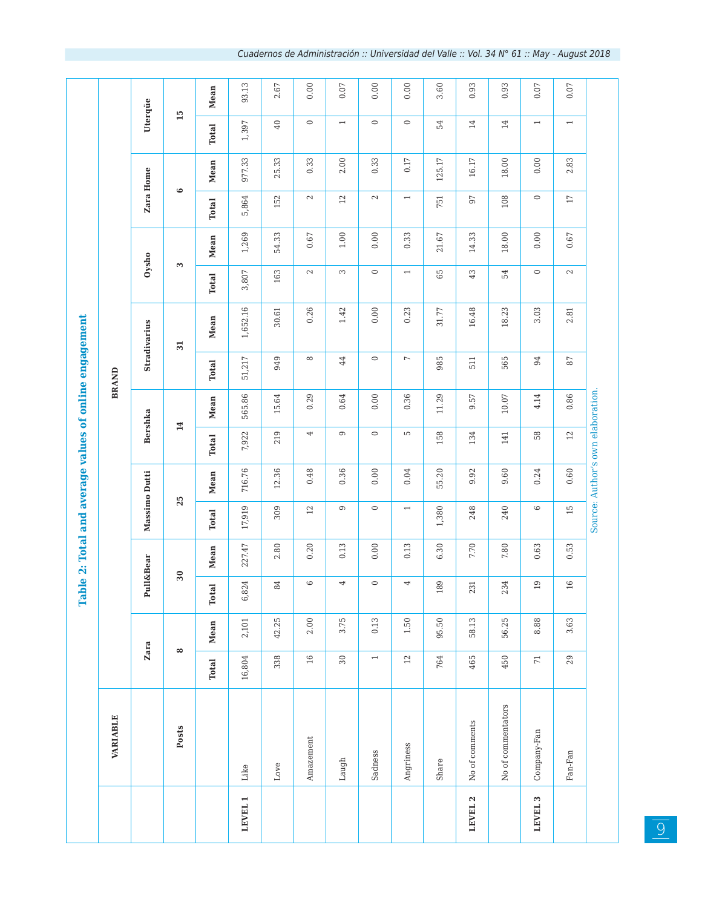|                    |                    |                          |          |              |           |                          | Table 2: Total and average values of online engagement |                |           |                          |                     |                          |          |                          |           |                          |       |
|--------------------|--------------------|--------------------------|----------|--------------|-----------|--------------------------|--------------------------------------------------------|----------------|-----------|--------------------------|---------------------|--------------------------|----------|--------------------------|-----------|--------------------------|-------|
|                    | VARIABLE           |                          |          |              |           |                          |                                                        |                |           | <b>BRAND</b>             |                     |                          |          |                          |           |                          |       |
|                    |                    |                          | Zara     |              | Pull&Bear |                          | Massimo Dutti                                          | <b>Bershka</b> |           |                          | <b>Stradivarius</b> | Oysho                    |          | Zara Home                |           | Uterqüe                  |       |
|                    | Posts              |                          | $\infty$ |              | 30        |                          | 25                                                     | 14             |           |                          | $\overline{31}$     | $\mathbf{\mathfrak{S}}$  |          | $\circ$                  |           | 15                       |       |
|                    |                    | <b>Total</b>             | Mean     | <b>Total</b> | Mean      | Total                    | Mean                                                   | <b>Total</b>   | Mean      | <b>Total</b>             | Mean                | <b>Total</b>             | Mean     | <b>Total</b>             | Mean      | <b>Total</b>             | Mean  |
| LEVEL 1            | Like               | 16,804                   | 2,101    | 6,824        | 227.47    | 17,919                   | 716.76                                                 | 7,922          | 565.86    | 51,217                   | 1,652.16            | 3,807                    | 1,269    | 5,864                    | 977.33    | 1,397                    | 93.13 |
|                    | Love               | 338                      | 42.25    | 84           | 2.80      | 309                      | 12.36                                                  | 219            | 15.64     | 949                      | 30.61               | 163                      | 54.33    | 152                      | 25.33     | $40$                     | 2.67  |
|                    | Amazement          | $16\,$                   | 2.00     | $\circ$      | 0.20      | $12\,$                   | 0.48                                                   | 4              | 0.29      | $\infty$                 | 0.26                | $\mathbb{C}^2$           | $0.67\,$ | $\sim$                   | 0.33      | $\circ$                  | 0.00  |
|                    | Laugh              | $30\,$                   | 3.75     | 4            | 0.13      | $\circ$                  | 0.36                                                   | $\mathbb O$    | 0.64      | $44$                     | 1.42                | $\sim$                   | $1.00\,$ | $12\,$                   | 2.00      | $\overline{\phantom{a}}$ | 0.07  |
|                    | Sadness            | $\overline{\phantom{0}}$ | 0.13     | $\circ$      | 0.00      | $\circ$                  | 0.00                                                   | $\circ$        | 0.00      | $\circ$                  | 0.00                | $\circ$                  | 0.00     | $\mathbb{Z}$             | 0.33      | $\circ$                  | 0.00  |
|                    | Angriness          | $12\,$                   | 1.50     | 4            | 0.13      | $\overline{\phantom{0}}$ | $0.04\,$                                               | $\overline{5}$ | 0.36      | $\overline{\phantom{a}}$ | 0.23                | $\overline{\phantom{0}}$ | 0.33     | $\overline{\phantom{0}}$ | $0.17\,$  | $\circ$                  | 0.00  |
|                    | Share              | 764                      | 95.50    | 89           | 6.30      | 1,380                    | 55.20                                                  | 158            | 11.29     | 985                      | 31.77               | 65                       | 21.67    | 751                      | 125.17    | 54                       | 3.60  |
| LEVEL <sub>2</sub> | No of comments     | 465                      | 58.13    | 231          | 7.70      | 248                      | 9.92                                                   | 134            | 9.57      | 511                      | 16.48               | $43\,$                   | 14.33    | 97                       | $16.17\,$ | $14\,$                   | 0.93  |
|                    | No of commentators | 450                      | 56.25    | 234          | $7.80\,$  | 240                      | 9.60                                                   | 141            | $10.07\,$ | 565                      | 18.23               | 54                       | 18.00    | 108                      | 18.00     | $14\,$                   | 0.93  |
| LEVEL <sub>3</sub> | Company-Fan        | $\overline{71}$          | 8.88     | 19           | 0.63      | $\circ$                  | 0.24                                                   | 58             | 4.14      | 94                       | 3.03                | $\circ$                  | 0.00     | $\circ$                  | 0.00      | $\overline{\phantom{0}}$ | 0.07  |
|                    | Fan-Fan            | 29                       | 3.63     | 16           | 0.53      | 15                       | 0.60                                                   | $12\,$         | 0.86      | $\sqrt{8}$               | 2.81                | $\mathbb{N}$             | $0.67\,$ | $\Gamma$                 | 2.83      | $\overline{\phantom{0}}$ | 0.07  |
|                    |                    |                          |          |              |           |                          | Source: Author's own elaboration.                      |                |           |                          |                     |                          |          |                          |           |                          |       |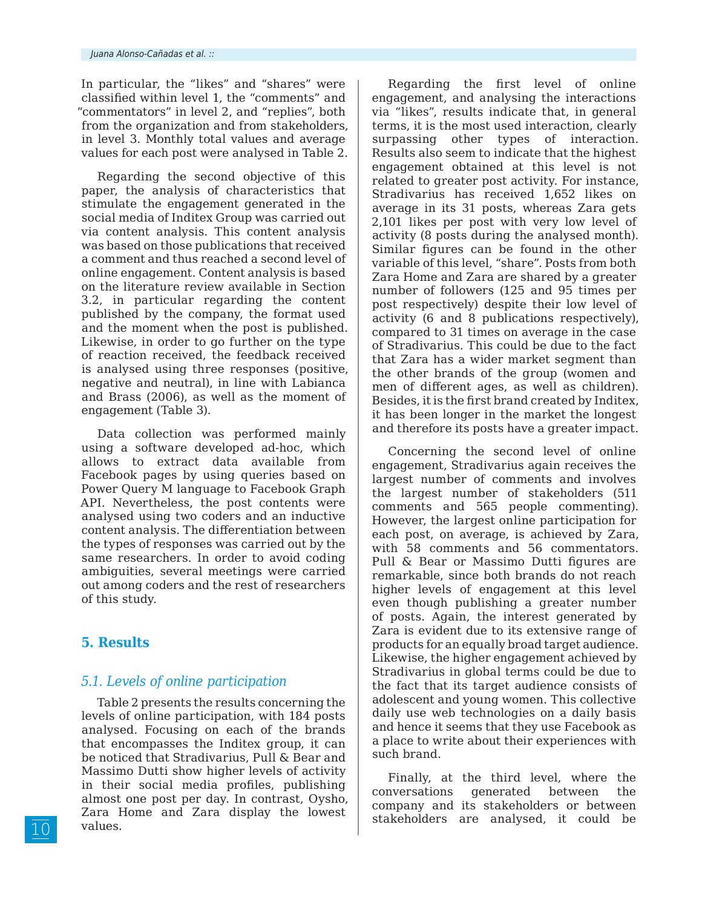In particular, the "likes" and "shares" were classified within level 1, the "comments" and "commentators" in level 2, and "replies", both from the organization and from stakeholders, in level 3. Monthly total values and average values for each post were analysed in Table 2.

Regarding the second objective of this paper, the analysis of characteristics that stimulate the engagement generated in the social media of Inditex Group was carried out via content analysis. This content analysis was based on those publications that received a comment and thus reached a second level of online engagement. Content analysis is based on the literature review available in Section 3.2, in particular regarding the content published by the company, the format used and the moment when the post is published. Likewise, in order to go further on the type of reaction received, the feedback received is analysed using three responses (positive, negative and neutral), in line with Labianca and Brass (2006), as well as the moment of engagement (Table 3).

Data collection was performed mainly using a software developed ad-hoc, which allows to extract data available from Facebook pages by using queries based on Power Query M language to Facebook Graph API. Nevertheless, the post contents were analysed using two coders and an inductive content analysis. The differentiation between the types of responses was carried out by the same researchers. In order to avoid coding ambiguities, several meetings were carried out among coders and the rest of researchers of this study.

### **5. Results**

### *5.1. Levels of online participation*

Table 2 presents the results concerning the levels of online participation, with 184 posts analysed. Focusing on each of the brands that encompasses the Inditex group, it can be noticed that Stradivarius, Pull & Bear and Massimo Dutti show higher levels of activity in their social media profiles, publishing almost one post per day. In contrast, Oysho, Zara Home and Zara display the lowest values.

Regarding the first level of online engagement, and analysing the interactions via "likes", results indicate that, in general terms, it is the most used interaction, clearly surpassing other types of interaction. Results also seem to indicate that the highest engagement obtained at this level is not related to greater post activity. For instance, Stradivarius has received 1,652 likes on average in its 31 posts, whereas Zara gets 2,101 likes per post with very low level of activity (8 posts during the analysed month). Similar figures can be found in the other variable of this level, "share". Posts from both Zara Home and Zara are shared by a greater number of followers (125 and 95 times per post respectively) despite their low level of activity (6 and 8 publications respectively), compared to 31 times on average in the case of Stradivarius. This could be due to the fact that Zara has a wider market segment than the other brands of the group (women and men of different ages, as well as children). Besides, it is the first brand created by Inditex, it has been longer in the market the longest and therefore its posts have a greater impact.

Concerning the second level of online engagement, Stradivarius again receives the largest number of comments and involves the largest number of stakeholders (511 comments and 565 people commenting). However, the largest online participation for each post, on average, is achieved by Zara, with 58 comments and 56 commentators. Pull & Bear or Massimo Dutti figures are remarkable, since both brands do not reach higher levels of engagement at this level even though publishing a greater number of posts. Again, the interest generated by Zara is evident due to its extensive range of products for an equally broad target audience. Likewise, the higher engagement achieved by Stradivarius in global terms could be due to the fact that its target audience consists of adolescent and young women. This collective daily use web technologies on a daily basis and hence it seems that they use Facebook as a place to write about their experiences with such brand.

Finally, at the third level, where the conversations generated between the company and its stakeholders or between stakeholders are analysed, it could be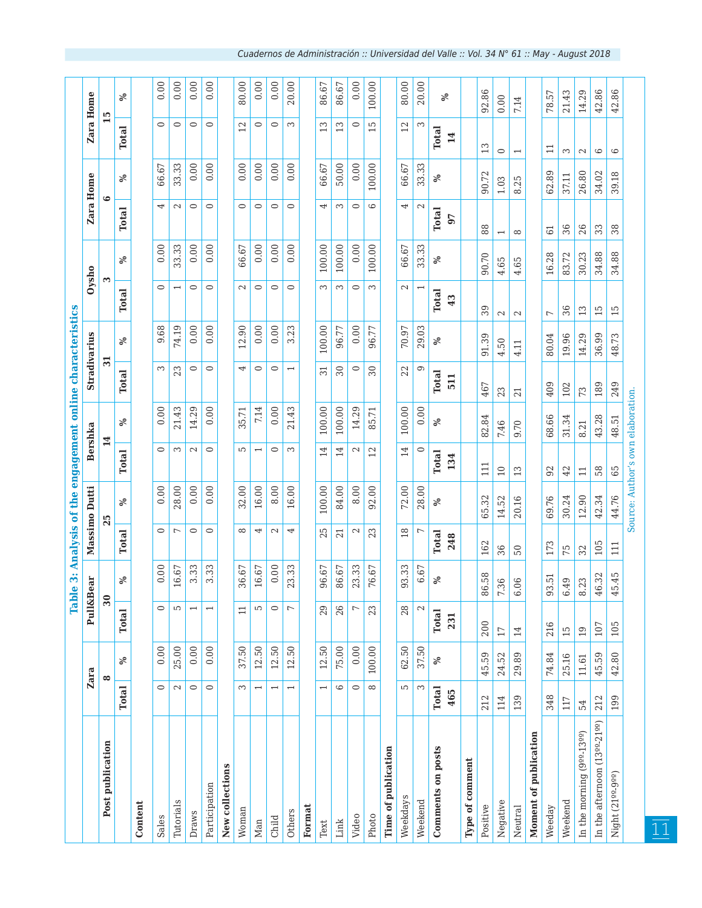|                                           |                          |        | Tabl                     | $\bullet$       |                     | 3: Analysis of the engagement online characteristics |                          |                |                          |              |                          |        |                          |           |                          |        |
|-------------------------------------------|--------------------------|--------|--------------------------|-----------------|---------------------|------------------------------------------------------|--------------------------|----------------|--------------------------|--------------|--------------------------|--------|--------------------------|-----------|--------------------------|--------|
|                                           | Zara                     |        | Pull&B                   | ear             |                     | Massimo Dutti                                        |                          | <b>Bershka</b> |                          | Stradivarius |                          | Oysho  |                          | Zara Home | Zara Home                |        |
| Post publication                          | ∞                        |        | $30\,$                   |                 |                     | 25                                                   |                          | 14             | $\overline{31}$          |              |                          | S      |                          | $\bullet$ |                          | ഥ      |
|                                           | <b>Total</b>             | $\%$   | <b>Total</b>             | ళ               | Total               | వ్                                                   | Total                    | ℅              | Total                    | వ్           | Total                    | వ్     | <b>Total</b>             | ℅         | Total                    | వ్     |
| Content                                   |                          |        |                          |                 |                     |                                                      |                          |                |                          |              |                          |        |                          |           |                          |        |
| Sales                                     | $\circ$                  | 0.00   | $\circ$                  | 0.00            | $\circ$             | 0.00                                                 | $\circ$                  | 0.00           | S                        | 9.68         | $\circ$                  | 0.00   | 4                        | 66.67     | $\circ$                  | 0.00   |
| Tutorials                                 | $\mathbf{c}$             | 25.00  | S                        | 16.67           | $\overline{ }$      | 28.00                                                | 3                        | 21.43          | 23                       | 74.19        | $\overline{\phantom{0}}$ | 33.33  | $\sim$                   | 33.33     | $\circ$                  | 0.00   |
| Draws                                     | $\circ$                  | 0.00   | $\overline{\phantom{0}}$ | 3.33            | $\circ$             | 0.00                                                 | $\sim$                   | 14.29          | $\circ$                  | 0.00         | $\circ$                  | 0.00   | $\circ$                  | 0.00      | $\circ$                  | 0.00   |
| Participation                             | $\circ$                  | 0.00   |                          | 3.33            | $\circ$             | 0.00                                                 | $\circ$                  | 0.00           | $\circ$                  | 0.00         | $\circ$                  | 0.00   | $\circ$                  | 0.00      | $\circ$                  | 0.00   |
| New collections                           |                          |        |                          |                 |                     |                                                      |                          |                |                          |              |                          |        |                          |           |                          |        |
| Woman                                     | S                        | 37.50  | $\Xi$                    | 36.67           | $\infty$            | 32.00                                                | S                        | 35.71          | 4                        | 12.90        | $\sim$                   | 66.67  | $\circ$                  | 0.00      | 12                       | 80.00  |
| Man                                       | $\overline{\phantom{0}}$ | 12.50  | 5                        | 16.67           | 4                   | 16.00                                                | $\overline{\phantom{0}}$ | 7.14           | $\circ$                  | 0.00         | $\circ$                  | 0.00   | $\circ$                  | 0.00      | $\circ$                  | 0.00   |
| Child                                     | $\overline{\phantom{0}}$ | 12.50  | $\circ$                  | 0.00            | $\sim$              | 8.00                                                 | $\circ$                  | 0.00           | $\circ$                  | 0.00         | $\circ$                  | 0.00   | $\circ$                  | 0.00      | $\circ$                  | 0.00   |
| Others                                    | $\overline{\phantom{0}}$ | 12.50  | $\overline{ }$           | 23.33           | 4                   | 16.00                                                | S                        | 21.43          | $\overline{\phantom{0}}$ | 3.23         | $\circ$                  | 0.00   | $\circ$                  | 0.00      | S                        | 20.00  |
| Format                                    |                          |        |                          |                 |                     |                                                      |                          |                |                          |              |                          |        |                          |           |                          |        |
| $_{\rm Text}$                             | $\overline{\phantom{0}}$ | 12.50  | 29                       | 96.67           | 25                  | 100.00                                               | 14                       | 100.00         | $\overline{31}$          | 100.00       | S                        | 100.00 | 4                        | 66.67     | S                        | 86.67  |
| Link                                      | $\circ$                  | 75.00  | 26                       | 86.67           | 21                  | 84.00                                                | $\overline{4}$           | 100.00         | 30                       | 96.77        | S                        | 100.00 | S                        | 50.00     | S                        | 86.67  |
| Video                                     | $\circ$                  | 0.00   | $\overline{ }$           | 23.33           | $\mathcal{C}$       | 8.00                                                 | 2                        | 14.29          | $\circ$                  | 0.00         | $\circ$                  | 0.00   | $\circ$                  | 0.00      | $\circ$                  | 0.00   |
| Photo                                     | $\infty$                 | 100.00 | 23                       | 76.67           | 23                  | 92.00                                                | 12                       | 85.71          | $30\,$                   | 96.77        | S                        | 100.00 | 6                        | 100.00    | 5                        | 100.00 |
| Time of publication                       |                          |        |                          |                 |                     |                                                      |                          |                |                          |              |                          |        |                          |           |                          |        |
| Weekdays                                  | 5                        | 62.50  | 28                       | 93.33           | $\frac{8}{10}$      | 72.00                                                | 14                       | 100.00         | 22                       | 70.97        | $\mathbb{N}$             | 66.67  | 4                        | 66.67     | 12                       | 80.00  |
| Weekend                                   | 3                        | 37.50  | $\mathbb{C}^2$           | 6.67            | $\overline{ }$      | 28.00                                                | $\circ$                  | 0.00           | Θ                        | 29.03        | $\overline{ }$           | 33.33  | $\mathbf{C}$             | 33.33     | 3                        | 20.00  |
| <b>Comments on posts</b>                  | <b>Total</b><br>465      | $\%$   | <b>Total</b><br>231      | ళ               | <b>Total</b><br>248 | ళ                                                    | <b>Total</b><br>134      | ℅              | <b>Total</b><br>511      | ℅            | <b>Total</b><br>43       | ಸಿ     | <b>Total</b><br>97       | ℅         | <b>Total</b><br>14       | ℅      |
| Type of comment                           |                          |        |                          |                 |                     |                                                      |                          |                |                          |              |                          |        |                          |           |                          |        |
| Positive                                  | 212                      | 45.59  | 200                      | 86.58           | 162                 | 65.32                                                | 111                      | 82.84          | 467                      | 91.39        | 39                       | 90.70  | 88                       | 90.72     | 13                       | 92.86  |
| Negative                                  | 114                      | 24.52  | $17\,$                   | 36<br>V,        | 36                  | 52<br>14.                                            | $\supseteq$              | 7.46           | 23                       | 50<br>4.     | $\mathbf{C}$             | 4.65   | $\overline{\phantom{0}}$ | 1.03      | $\circ$                  | 0.00   |
| Neutral                                   | 139                      | 29.89  | 14                       | .06<br>$\circ$  | $50\,$              | 20.16                                                | 13                       | 0.70           | 21                       | 4.11         | $\mathbb{C}^2$           | 4.65   | $\infty$                 | 8.25      | $\overline{\phantom{0}}$ | 7.14   |
| Moment of publication                     |                          |        |                          |                 |                     |                                                      |                          |                |                          |              |                          |        |                          |           |                          |        |
| Weeday                                    | 348                      | 74.84  | 216                      | 93.51           | 173                 | 69.76                                                | 92                       | 68.66          | 409                      | 80.04        | $\overline{\phantom{a}}$ | 16.28  | 61                       | 62.89     | $\Xi$                    | 78.57  |
| Weekend                                   | 117                      | 25.16  | $\overline{15}$          | .49<br>0        | 75                  | 30.24                                                | 42                       | 31.34          | 102                      | 19.96        | 36                       | 83.72  | 36                       | 37.11     | S                        | 21.43  |
| In the morning (9 <sup>99-1399</sup> )    | 54                       | 11.61  | $\overline{01}$          | .23<br>$\infty$ | 32                  | 12.90                                                | $\Xi$                    | 8.21           | 73                       | 14.29        | 13                       | 30.23  | 26                       | 26.80     | $\mathbb{C}^2$           | 14.29  |
| In the afternoon (13 <sup>22-2122</sup> ) | 212                      | 45.59  | 107                      | 46.32           | 105                 | 42.34                                                | 58                       | 43.28          | 189                      | 36.99        | $\overline{15}$          | 34.88  | 33                       | 34.02     | $\circ$                  | 42.86  |
| Night (2199-999)                          | 199                      | 42.80  | 105                      | 45.45           | 111                 | 44.76                                                | 65                       | 48.51          | 249                      | 48.73        | 15                       | 34.88  | 38                       | 39.18     | $\circ$                  | 42.86  |
|                                           |                          |        |                          |                 |                     | Source: Author's own elaboration.                    |                          |                |                          |              |                          |        |                          |           |                          |        |

11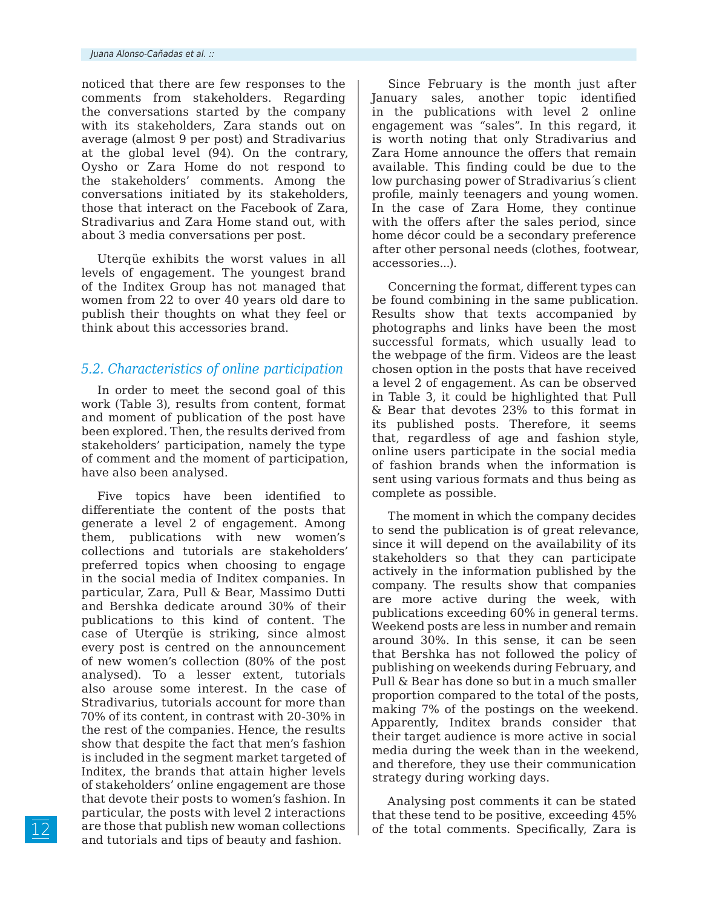noticed that there are few responses to the comments from stakeholders. Regarding the conversations started by the company with its stakeholders, Zara stands out on average (almost 9 per post) and Stradivarius at the global level (94). On the contrary, Oysho or Zara Home do not respond to the stakeholders' comments. Among the conversations initiated by its stakeholders, those that interact on the Facebook of Zara, Stradivarius and Zara Home stand out, with about 3 media conversations per post.

Uterqüe exhibits the worst values in all levels of engagement. The youngest brand of the Inditex Group has not managed that women from 22 to over 40 years old dare to publish their thoughts on what they feel or think about this accessories brand.

#### *5.2. Characteristics of online participation*

In order to meet the second goal of this work (Table 3), results from content, format and moment of publication of the post have been explored. Then, the results derived from stakeholders' participation, namely the type of comment and the moment of participation, have also been analysed.

Five topics have been identified to differentiate the content of the posts that generate a level 2 of engagement. Among them, publications with new women's collections and tutorials are stakeholders' preferred topics when choosing to engage in the social media of Inditex companies. In particular, Zara, Pull & Bear, Massimo Dutti and Bershka dedicate around 30% of their publications to this kind of content. The case of Uterqüe is striking, since almost every post is centred on the announcement of new women's collection (80% of the post analysed). To a lesser extent, tutorials also arouse some interest. In the case of Stradivarius, tutorials account for more than 70% of its content, in contrast with 20-30% in the rest of the companies. Hence, the results show that despite the fact that men's fashion is included in the segment market targeted of Inditex, the brands that attain higher levels of stakeholders' online engagement are those that devote their posts to women's fashion. In particular, the posts with level 2 interactions are those that publish new woman collections and tutorials and tips of beauty and fashion.

Since February is the month just after January sales, another topic identified in the publications with level 2 online engagement was "sales". In this regard, it is worth noting that only Stradivarius and Zara Home announce the offers that remain available. This finding could be due to the low purchasing power of Stradivarius´s client profile, mainly teenagers and young women. In the case of Zara Home, they continue with the offers after the sales period, since home décor could be a secondary preference after other personal needs (clothes, footwear, accessories...).

Concerning the format, different types can be found combining in the same publication. Results show that texts accompanied by photographs and links have been the most successful formats, which usually lead to the webpage of the firm. Videos are the least chosen option in the posts that have received a level 2 of engagement. As can be observed in Table 3, it could be highlighted that Pull & Bear that devotes 23% to this format in its published posts. Therefore, it seems that, regardless of age and fashion style, online users participate in the social media of fashion brands when the information is sent using various formats and thus being as complete as possible.

The moment in which the company decides to send the publication is of great relevance, since it will depend on the availability of its stakeholders so that they can participate actively in the information published by the company. The results show that companies are more active during the week, with publications exceeding 60% in general terms. Weekend posts are less in number and remain around 30%. In this sense, it can be seen that Bershka has not followed the policy of publishing on weekends during February, and Pull & Bear has done so but in a much smaller proportion compared to the total of the posts, making 7% of the postings on the weekend. Apparently, Inditex brands consider that their target audience is more active in social media during the week than in the weekend, and therefore, they use their communication strategy during working days.

Analysing post comments it can be stated that these tend to be positive, exceeding 45% of the total comments. Specifically, Zara is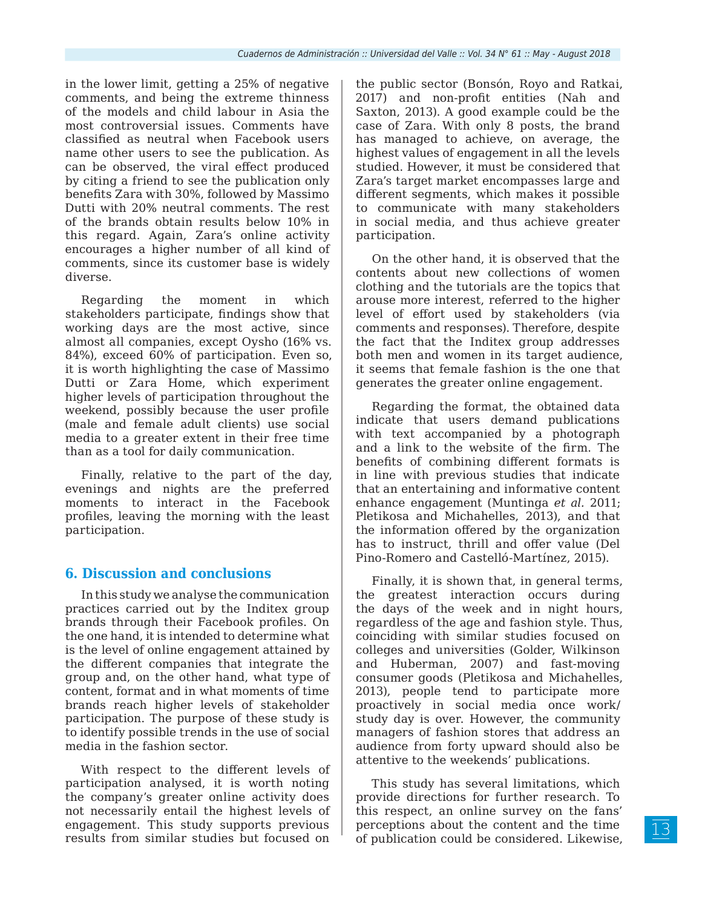in the lower limit, getting a 25% of negative comments, and being the extreme thinness of the models and child labour in Asia the most controversial issues. Comments have classified as neutral when Facebook users name other users to see the publication. As can be observed, the viral effect produced by citing a friend to see the publication only benefits Zara with 30%, followed by Massimo Dutti with 20% neutral comments. The rest of the brands obtain results below 10% in this regard. Again, Zara's online activity encourages a higher number of all kind of comments, since its customer base is widely diverse.

Regarding the moment in which stakeholders participate, findings show that working days are the most active, since almost all companies, except Oysho (16% vs. 84%), exceed 60% of participation. Even so, it is worth highlighting the case of Massimo Dutti or Zara Home, which experiment higher levels of participation throughout the weekend, possibly because the user profile (male and female adult clients) use social media to a greater extent in their free time than as a tool for daily communication.

Finally, relative to the part of the day, evenings and nights are the preferred moments to interact in the Facebook profiles, leaving the morning with the least participation.

### **6. Discussion and conclusions**

In this study we analyse the communication practices carried out by the Inditex group brands through their Facebook profiles. On the one hand, it is intended to determine what is the level of online engagement attained by the different companies that integrate the group and, on the other hand, what type of content, format and in what moments of time brands reach higher levels of stakeholder participation. The purpose of these study is to identify possible trends in the use of social media in the fashion sector.

With respect to the different levels of participation analysed, it is worth noting the company's greater online activity does not necessarily entail the highest levels of engagement. This study supports previous results from similar studies but focused on

the public sector (Bonsón, Royo and Ratkai, 2017) and non-profit entities (Nah and Saxton, 2013). A good example could be the case of Zara. With only 8 posts, the brand has managed to achieve, on average, the highest values of engagement in all the levels studied. However, it must be considered that Zara's target market encompasses large and different segments, which makes it possible to communicate with many stakeholders in social media, and thus achieve greater participation.

On the other hand, it is observed that the contents about new collections of women clothing and the tutorials are the topics that arouse more interest, referred to the higher level of effort used by stakeholders (via comments and responses). Therefore, despite the fact that the Inditex group addresses both men and women in its target audience, it seems that female fashion is the one that generates the greater online engagement.

Regarding the format, the obtained data indicate that users demand publications with text accompanied by a photograph and a link to the website of the firm. The benefits of combining different formats is in line with previous studies that indicate that an entertaining and informative content enhance engagement (Muntinga *et al.* 2011; Pletikosa and Michahelles, 2013), and that the information offered by the organization has to instruct, thrill and offer value (Del Pino-Romero and Castelló-Martínez, 2015).

Finally, it is shown that, in general terms, the greatest interaction occurs during the days of the week and in night hours, regardless of the age and fashion style. Thus, coinciding with similar studies focused on colleges and universities (Golder, Wilkinson and Huberman, 2007) and fast-moving consumer goods (Pletikosa and Michahelles, 2013), people tend to participate more proactively in social media once work/ study day is over. However, the community managers of fashion stores that address an audience from forty upward should also be attentive to the weekends' publications.

This study has several limitations, which provide directions for further research. To this respect, an online survey on the fans' perceptions about the content and the time of publication could be considered. Likewise,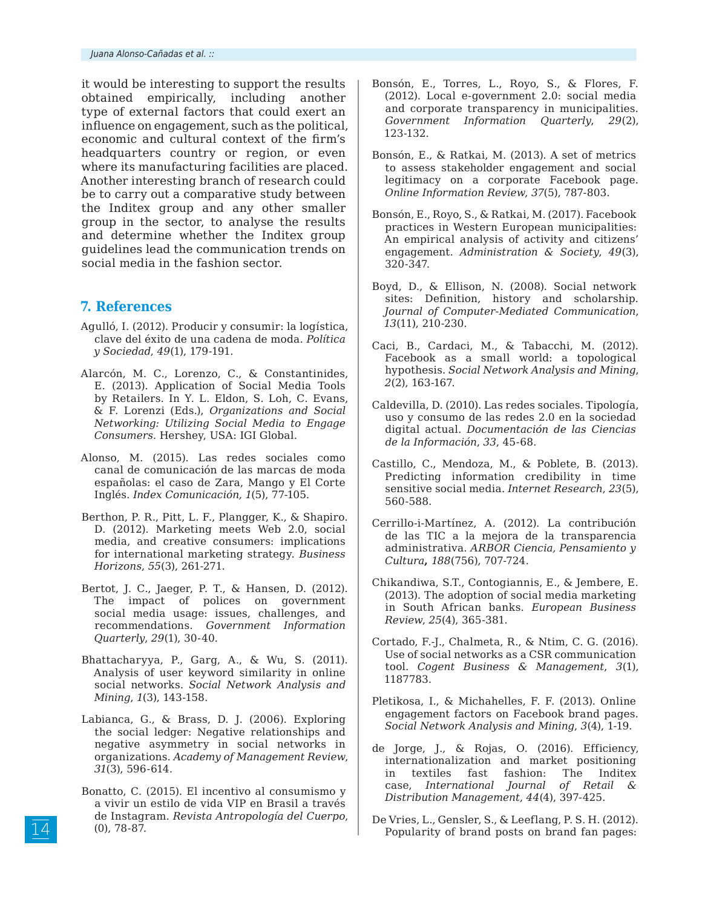it would be interesting to support the results obtained empirically, including another type of external factors that could exert an influence on engagement, such as the political, economic and cultural context of the firm's headquarters country or region, or even where its manufacturing facilities are placed. Another interesting branch of research could be to carry out a comparative study between the Inditex group and any other smaller group in the sector, to analyse the results and determine whether the Inditex group guidelines lead the communication trends on social media in the fashion sector.

#### **7. References**

- Agulló, I. (2012). Producir y consumir: la logística, clave del éxito de una cadena de moda. *Política y Sociedad*, *49*(1), 179-191.
- Alarcón, M. C., Lorenzo, C., & Constantinides, E. (2013). Application of Social Media Tools by Retailers. In Y. L. Eldon, S. Loh, C. Evans, & F. Lorenzi (Eds.), *Organizations and Social Networking: Utilizing Social Media to Engage Consumers*. Hershey, USA: IGI Global.
- Alonso, M. (2015). Las redes sociales como canal de comunicación de las marcas de moda españolas: el caso de Zara, Mango y El Corte Inglés. *Index Comunicación, 1*(5), 77-105.
- Berthon, P. R., Pitt, L. F., Plangger, K., & Shapiro. D. (2012). Marketing meets Web 2.0, social media, and creative consumers: implications for international marketing strategy. *Business Horizons*, *55*(3), 261-271.
- Bertot, J. C., Jaeger, P. T., & Hansen, D. (2012). The impact of polices on government social media usage: issues, challenges, and recommendations. *Government Information Quarterly*, *29*(1), 30-40.
- Bhattacharyya, P., Garg, A., & Wu, S. (2011). Analysis of user keyword similarity in online social networks. *Social Network Analysis and Mining*, *1*(3), 143-158.
- Labianca, G., & Brass, D. J. (2006). Exploring the social ledger: Negative relationships and negative asymmetry in social networks in organizations. *Academy of Management Review*, *31*(3), 596-614.
- Bonatto, C. (2015). El incentivo al consumismo y a vivir un estilo de vida VIP en Brasil a través de Instagram. *Revista Antropología del Cuerpo*, (0), 78-87.
- Bonsón, E., Torres, L., Royo, S., & Flores, F. (2012). Local e-government 2.0: social media and corporate transparency in municipalities. *Government Information Quarterly*, *29*(2), 123-132.
- Bonsón, E., & Ratkai, M. (2013). A set of metrics to assess stakeholder engagement and social legitimacy on a corporate Facebook page. *Online Information Review*, *37*(5), 787-803.
- Bonsón, E., Royo, S., & Ratkai, M. (2017). Facebook practices in Western European municipalities: An empirical analysis of activity and citizens' engagement. *Administration & Society*, *49*(3), 320-347.
- Boyd, D., & Ellison, N. (2008). Social network sites: Definition, history and scholarship. *Journal of Computer-Mediated Communication*, *13*(11), 210-230.
- Caci, B., Cardaci, M., & Tabacchi, M. (2012). Facebook as a small world: a topological hypothesis. *Social Network Analysis and Mining*, *2*(2), 163-167.
- Caldevilla, D. (2010). Las redes sociales. Tipología, uso y consumo de las redes 2.0 en la sociedad digital actual. *Documentación de las Ciencias de la Información*, *33*, 45-68.
- Castillo, C., Mendoza, M., & Poblete, B. (2013). Predicting information credibility in time sensitive social media. *Internet Research*, *23*(5), 560-588.
- Cerrillo-i-Martínez, A. (2012). La contribución de las TIC a la mejora de la transparencia administrativa. *ARBOR Ciencia, Pensamiento y Cultura***,** *188*(756), 707-724.
- Chikandiwa, S.T., Contogiannis, E., & Jembere, E. (2013). The adoption of social media marketing in South African banks. *European Business Review*, *25*(4), 365-381.
- Cortado, F.-J., Chalmeta, R., & Ntim, C. G. (2016). Use of social networks as a CSR communication tool. *Cogent Business & Management*, *3*(1), 1187783.
- Pletikosa, I., & Michahelles, F. F. (2013). Online engagement factors on Facebook brand pages. *Social Network Analysis and Mining*, *3*(4), 1-19.
- de Jorge, J., & Rojas, O. (2016). Efficiency, internationalization and market positioning in textiles fast fashion: The Inditex case, *International Journal of Retail & Distribution Management*, *44*(4), 397-425.
- De Vries, L., Gensler, S., & Leeflang, P. S. H. (2012). Popularity of brand posts on brand fan pages: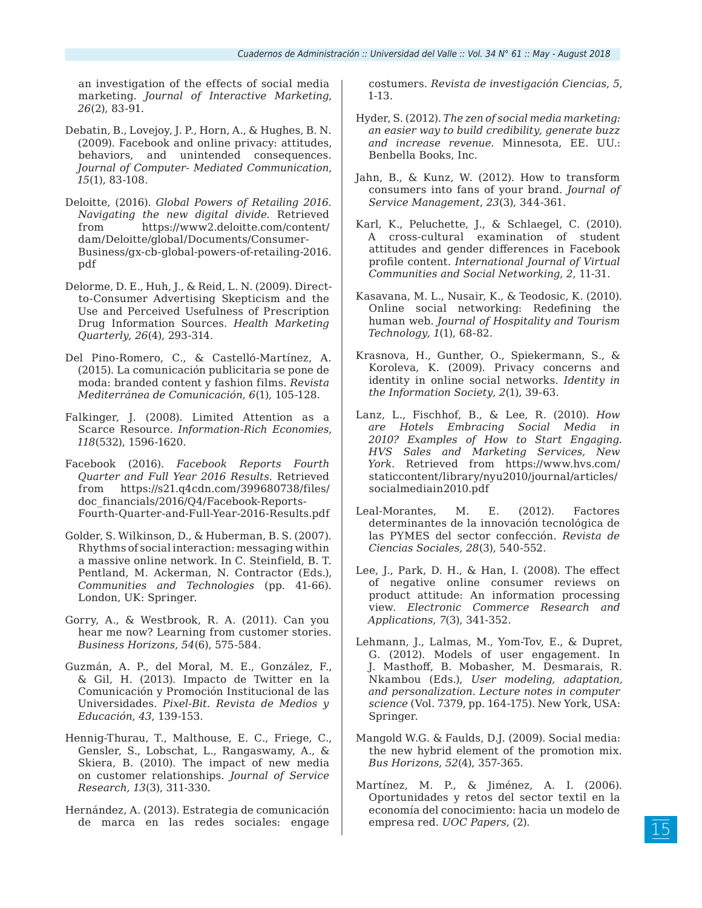an investigation of the effects of social media marketing. *Journal of Interactive Marketing*, *26*(2), 83-91.

- Debatin, B., Lovejoy, J. P., Horn, A., & Hughes, B. N. (2009). Facebook and online privacy: attitudes, behaviors, and unintended consequences. *Journal of Computer- Mediated Communication*, *15*(1), 83-108.
- Deloitte, (2016). *Global Powers of Retailing 2016. Navigating the new digital divide.* Retrieved from https://www2.deloitte.com/content/ dam/Deloitte/global/Documents/Consumer-Business/gx-cb-global-powers-of-retailing-2016. pdf
- Delorme, D. E., Huh, J., & Reid, L. N. (2009). Directto-Consumer Advertising Skepticism and the Use and Perceived Usefulness of Prescription Drug Information Sources. *Health Marketing Quarterly*, *26*(4), 293-314.
- Del Pino-Romero, C., & Castelló-Martínez, A. (2015). La comunicación publicitaria se pone de moda: branded content y fashion films*. Revista Mediterránea de Comunicación*, *6*(1), 105-128.
- Falkinger, J. (2008). Limited Attention as a Scarce Resource. *Information-Rich Economies*, *118*(532), 1596-1620.
- Facebook (2016). *Facebook Reports Fourth Quarter and Full Year 2016 Results.* Retrieved from https://s21.q4cdn.com/399680738/files/ doc\_financials/2016/Q4/Facebook-Reports-Fourth-Quarter-and-Full-Year-2016-Results.pdf
- Golder, S. Wilkinson, D., & Huberman, B. S. (2007). Rhythms of social interaction: messaging within a massive online network. In C. Steinfield, B. T. Pentland, M. Ackerman, N. Contractor (Eds.), *Communities and Technologies* (pp. 41-66). London, UK: Springer.
- Gorry, A., & Westbrook, R. A. (2011). Can you hear me now? Learning from customer stories. *Business Horizons*, *54*(6), 575-584.
- Guzmán, A. P., del Moral, M. E., González, F., & Gil, H. (2013). Impacto de Twitter en la Comunicación y Promoción Institucional de las Universidades. *Pixel-Bit. Revista de Medios y Educación*, *43*, 139-153.
- Hennig-Thurau, T., Malthouse, E. C., Friege, C., Gensler, S., Lobschat, L., Rangaswamy, A., & Skiera, B. (2010). The impact of new media on customer relationships. *Journal of Service Research*, *13*(3), 311-330.
- Hernández, A. (2013). Estrategia de comunicación de marca en las redes sociales: engage

costumers. *Revista de investigación Ciencias*, *5*, 1-13.

- Hyder, S. (2012). *The zen of social media marketing: an easier way to build credibility, generate buzz and increase revenue*. Minnesota, EE. UU.: Benbella Books, Inc.
- Jahn, B., & Kunz, W. (2012). How to transform consumers into fans of your brand. *Journal of Service Management*, *23*(3), 344-361.
- Karl, K., Peluchette, J., & Schlaegel, C. (2010). A cross-cultural examination of student attitudes and gender differences in Facebook profile content. *International Journal of Virtual Communities and Social Networking*, *2*, 11-31.
- Kasavana, M. L., Nusair, K., & Teodosic, K. (2010). Online social networking: Redefining the human web. *Journal of Hospitality and Tourism Technology, 1*(1), 68-82.
- Krasnova, H., Gunther, O., Spiekermann, S., & Koroleva, K. (2009). Privacy concerns and identity in online social networks. *Identity in the Information Society*, *2*(1), 39-63.
- Lanz, L., Fischhof, B., & Lee, R. (2010). *How are Hotels Embracing Social Media in 2010? Examples of How to Start Engaging. HVS Sales and Marketing Services, New York.* Retrieved from https://www.hvs.com/ staticcontent/library/nyu2010/journal/articles/ socialmediain2010.pdf
- Leal-Morantes, M. E. (2012). Factores determinantes de la innovación tecnológica de las PYMES del sector confección. *Revista de Ciencias Sociales*, *28*(3), 540-552.
- Lee, J., Park, D. H., & Han, I. (2008). The effect of negative online consumer reviews on product attitude: An information processing view. *Electronic Commerce Research and Applications*, *7*(3), 341-352.
- Lehmann, J., Lalmas, M., Yom-Tov, E., & Dupret, G. (2012). Models of user engagement. In J. Masthoff, B. Mobasher, M. Desmarais, R. Nkambou (Eds.), *User modeling, adaptation, and personalization. Lecture notes in computer science* (Vol. 7379, pp. 164-175)*.* New York, USA: Springer.
- Mangold W.G. & Faulds, D.J. (2009). Social media: the new hybrid element of the promotion mix. *Bus Horizons*, *52*(4), 357-365.
- Martínez, M. P., & Jiménez, A. I. (2006). Oportunidades y retos del sector textil en la economía del conocimiento: hacia un modelo de empresa red. *UOC Papers*, (2).